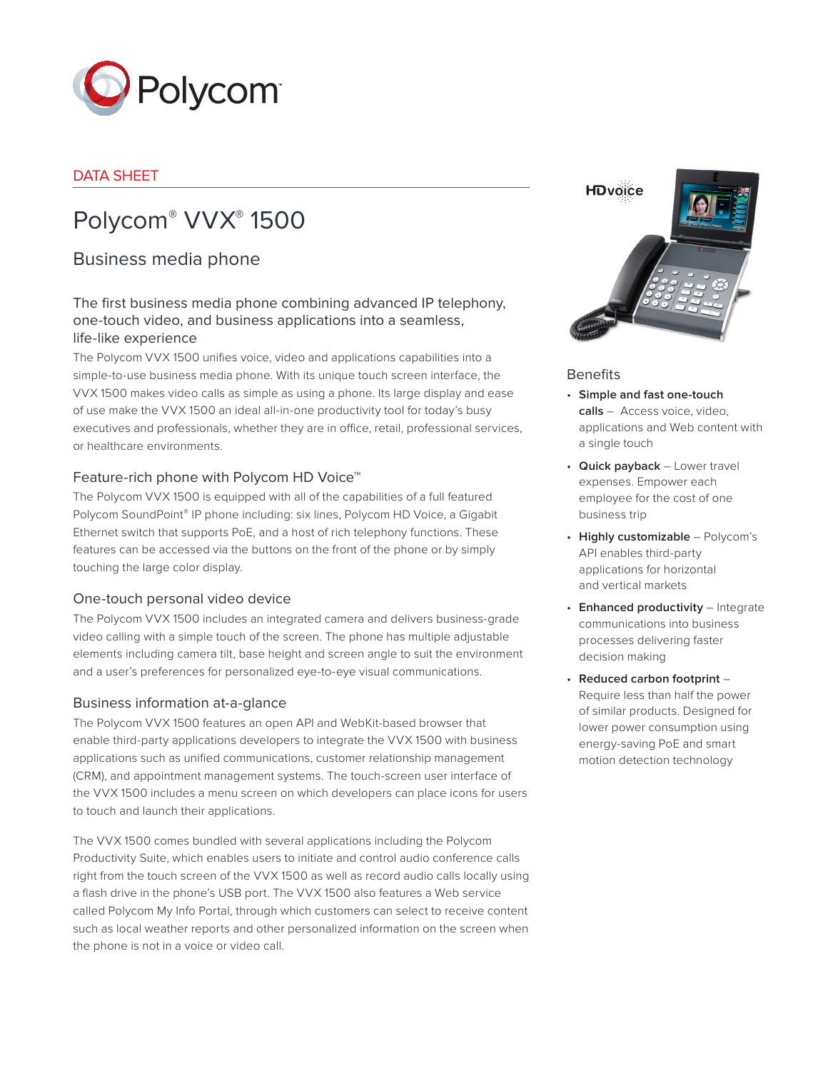

# DATA SHEET

# Polycom® VVX® 1500

# Business media phone

# The first business media phone combining advanced IP telephony, one-touch video, and business applications into a seamless, life-like experience

The Polycom VVX 1500 unifies voice, video and applications capabilities into a simple-to-use business media phone. With its unique touch screen interface, the VVX 1500 makes video calls as simple as using a phone. Its large display and ease of use make the VVX 1500 an ideal all-in-one productivity tool for today's busy executives and professionals, whether they are in office, retail, professional services, or healthcare environments.

## Feature-rich phone with Polycom HD Voice™

The Polycom VVX 1500 is equipped with all of the capabilities of a full featured Polycom SoundPoint® IP phone including: six lines, Polycom HD Voice, a Gigabit Ethernet switch that supports PoE, and a host of rich telephony functions. These features can be accessed via the buttons on the front of the phone or by simply touching the large color display.

### One-touch personal video device

The Polycom VVX 1500 includes an integrated camera and delivers business-grade video calling with a simple touch of the screen. The phone has multiple adjustable elements including camera tilt, base height and screen angle to suit the environment and a user's preferences for personalized eye-to-eye visual communications.

### Business information at-a-glance

The Polycom VVX 1500 features an open API and WebKit-based browser that enable third-party applications developers to integrate the VVX 1500 with business applications such as unified communications, customer relationship management (CRM), and appointment management systems. The touch-screen user interface of the VVX 1500 includes a menu screen on which developers can place icons for users to touch and launch their applications.

The VVX 1500 comes bundled with several applications including the Polycom Productivity Suite, which enables users to initiate and control audio conference calls right from the touch screen of the VVX 1500 as well as record audio calls locally using a flash drive in the phone's USB port. The VVX 1500 also features a Web service called Polycom My Info Portal, through which customers can select to receive content such as local weather reports and other personalized information on the screen when the phone is not in a voice or video call.



#### **Benefits**

- • **Simple and fast one-touch calls** – Access voice, video, applications and Web content with a single touch
- • **Quick payback** Lower travel expenses. Empower each employee for the cost of one business trip
- • **Highly customizable** Polycom's API enables third-party applications for horizontal and vertical markets
- • **Enhanced productivity** Integrate communications into business processes delivering faster decision making
- • **Reduced carbon footprint** Require less than half the power of similar products. Designed for lower power consumption using energy-saving PoE and smart motion detection technology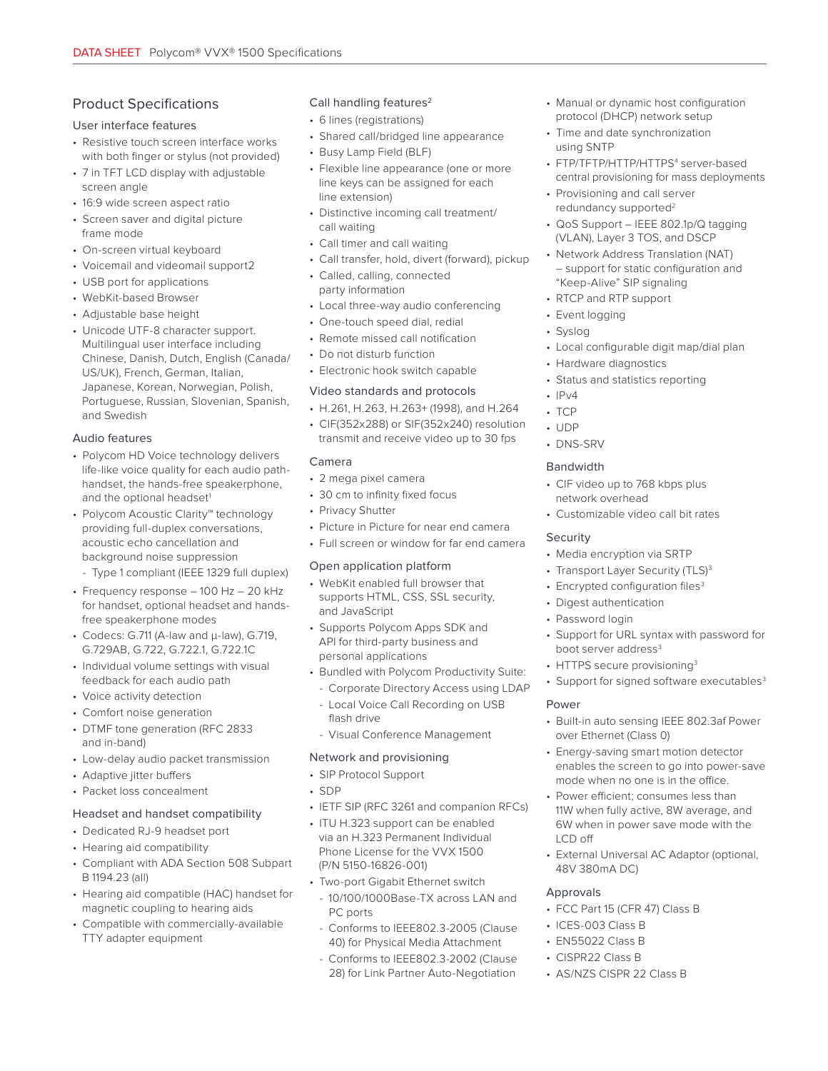# Product Specifications

#### User interface features

- Resistive touch screen interface works with both finger or stylus (not provided)
- 7 in TFT LCD display with adjustable screen angle
- 16:9 wide screen aspect ratio
- Screen saver and digital picture frame mode
- On-screen virtual keyboard
- Voicemail and videomail support2
- USB port for applications
- WebKit-based Browser
- Adjustable base height
- Unicode UTF-8 character support. Multilingual user interface including Chinese, Danish, Dutch, English (Canada/ US/UK), French, German, Italian, Japanese, Korean, Norwegian, Polish, Portuguese, Russian, Slovenian, Spanish, and Swedish

### Audio features

- Polycom HD Voice technology delivers life-like voice quality for each audio pathhandset, the hands-free speakerphone, and the optional headset<sup>1</sup>
- Polycom Acoustic Clarity™ technology providing full-duplex conversations, acoustic echo cancellation and background noise suppression
- Type 1 compliant (IEEE 1329 full duplex)
- Frequency response 100 Hz 20 kHz for handset, optional headset and handsfree speakerphone modes
- Codecs: G.711 (A-law and μ-law), G.719, G.729AB, G.722, G.722.1, G.722.1C
- Individual volume settings with visual feedback for each audio path
- Voice activity detection
- Comfort noise generation
- DTMF tone generation (RFC 2833 and in-band)
- Low-delay audio packet transmission
- Adaptive jitter buffers
- Packet loss concealment

### Headset and handset compatibility

- Dedicated RJ-9 headset port
- Hearing aid compatibility
- Compliant with ADA Section 508 Subpart B 1194.23 (all)
- Hearing aid compatible (HAC) handset for magnetic coupling to hearing aids
- Compatible with commercially-available TTY adapter equipment

#### Call handling features<sup>2</sup>

- 6 lines (registrations)
- Shared call/bridged line appearance
- Busy Lamp Field (BLF)
- Flexible line appearance (one or more line keys can be assigned for each line extension)
- Distinctive incoming call treatment/ call waiting
- Call timer and call waiting
- Call transfer, hold, divert (forward), pickup
- Called, calling, connected party information
- Local three-way audio conferencing
- One-touch speed dial, redial
- Remote missed call notification
- Do not disturb function
- Electronic hook switch capable

#### Video standards and protocols

- H.261, H.263, H.263+ (1998), and H.264
- CIF(352x288) or SIF(352x240) resolution transmit and receive video up to 30 fps

#### Camera

- 2 mega pixel camera
- 30 cm to infinity fixed focus
- Privacy Shutter
- Picture in Picture for near end camera
- Full screen or window for far end camera

#### Open application platform

- WebKit enabled full browser that supports HTML, CSS, SSL security, and JavaScript
- Supports Polycom Apps SDK and API for third-party business and personal applications
- Bundled with Polycom Productivity Suite:
	- Corporate Directory Access using LDAP
	- Local Voice Call Recording on USB
	- flash drive
	- Visual Conference Management

### Network and provisioning

- SIP Protocol Support
- SDP
- IETF SIP (RFC 3261 and companion RFCs)
- ITU H.323 support can be enabled via an H.323 Permanent Individual
- Phone License for the VVX 1500 (P/N 5150-16826-001)
- Two-port Gigabit Ethernet switch
- 10/100/1000Base-TX across LAN and PC ports
- Conforms to IEEE802.3-2005 (Clause 40) for Physical Media Attachment
- Conforms to IEEE802.3-2002 (Clause 28) for Link Partner Auto-Negotiation
- Manual or dynamic host configuration protocol (DHCP) network setup
- Time and date synchronization using SNTP
- FTP/TFTP/HTTP/HTTPS<sup>4</sup> server-based central provisioning for mass deployments
- Provisioning and call server redundancy supported2
- QoS Support IEEE 802.1p/Q tagging (VLAN), Layer 3 TOS, and DSCP
- Network Address Translation (NAT) – support for static configuration and "Keep-Alive" SIP signaling
- RTCP and RTP support
- Event logging
- Syslog
- Local configurable digit map/dial plan
- Hardware diagnostics
- Status and statistics reporting
- $\cdot$  IPv4
- TCP
- UDP
- DNS-SRV

#### **Bandwidth**

- CIF video up to 768 kbps plus network overhead
- Customizable video call bit rates

### Security

**Power** 

LCD off

Approvals

48V 380mA DC)

• ICES-003 Class B • EN55022 Class B • CISPR22 Class B

• FCC Part 15 (CFR 47) Class B

• AS/NZS CISPR 22 Class B

- Media encryption via SRTP
- Transport Layer Security (TLS)<sup>3</sup>
- Encrypted configuration files<sup>3</sup>
- Digest authentication
- Password login
- Support for URL syntax with password for boot server address<sup>3</sup>

• Support for signed software executables<sup>3</sup>

• Built-in auto sensing IEEE 802.3af Power

• External Universal AC Adaptor (optional,

• Energy-saving smart motion detector enables the screen to go into power-save mode when no one is in the office. • Power efficient; consumes less than 11W when fully active, 8W average, and 6W when in power save mode with the

• HTTPS secure provisioning<sup>3</sup>

over Ethernet (Class 0)